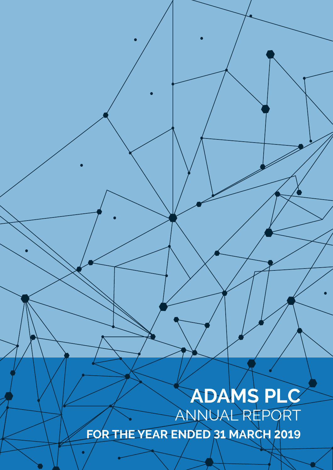# **ADAMS PLC** ANNUAL REPORT **FOR THE YEAR ENDED 31 MARCH 2019**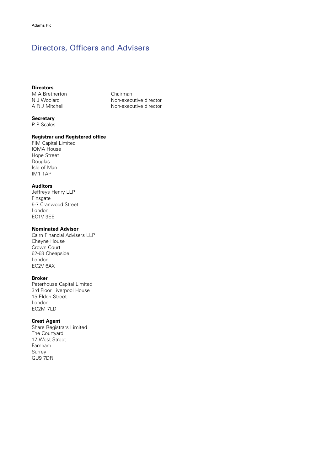# Directors, Officers and Advisers

# **Directors**

M A Bretherton Chairman

N J Woolard Non-executive director A R J Mitchell Non-executive director

# **Secretary**

P P Scales

# **Registrar and Registered office**

FIM Capital Limited IOMA House Hope Street Douglas Isle of Man IM1 1AP

# **Auditors**

Jeffreys Henry LLP Finsgate 5-7 Cranwood Street London EC1V 9EE

# **Nominated Advisor**

Cairn Financial Advisers LLP Cheyne House Crown Court 62-63 Cheapside London EC2V 6AX

# **Broker**

Peterhouse Capital Limited 3rd Floor Liverpool House 15 Eldon Street London EC2M 7LD

# **Crest Agent**

Share Registrars Limited The Courtyard 17 West Street Farnham Surrey GU9 7DR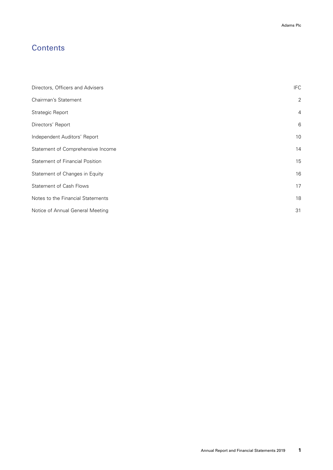# **Contents**

| Directors, Officers and Advisers  | <b>IFC</b>     |
|-----------------------------------|----------------|
| Chairman's Statement              | 2              |
| Strategic Report                  | $\overline{4}$ |
| Directors' Report                 | 6              |
| Independent Auditors' Report      | 10             |
| Statement of Comprehensive Income | 14             |
| Statement of Financial Position   | 15             |
| Statement of Changes in Equity    | 16             |
| Statement of Cash Flows           | 17             |
| Notes to the Financial Statements | 18             |
| Notice of Annual General Meeting  | 31             |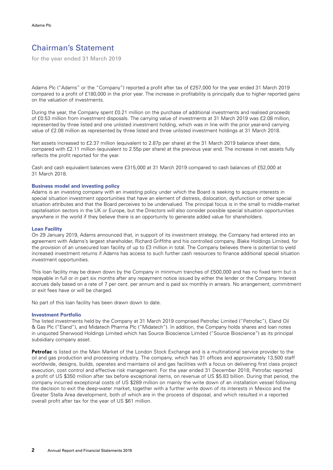# Chairman's Statement

for the year ended 31 March 2019

Adams Plc ("Adams" or the "Company") reported a profit after tax of £257,000 for the year ended 31 March 2019 compared to a profit of £180,000 in the prior year. The increase in profitability is principally due to higher reported gains on the valuation of investments.

During the year, the Company spent £0.21 million on the purchase of additional investments and realised proceeds of £0.53 million from investment disposals. The carrying value of investments at 31 March 2019 was £2.08 million, represented by three listed and one unlisted investment holding, which was in line with the prior year-end carrying value of £2.08 million as represented by three listed and three unlisted investment holdings at 31 March 2018.

Net assets increased to £2.37 million (equivalent to 2.87p per share) at the 31 March 2019 balance sheet date, compared with £2.11 million (equivalent to 2.55p per share) at the previous year end. The increase in net assets fully reflects the profit reported for the year.

Cash and cash equivalent balances were £315,000 at 31 March 2019 compared to cash balances of £52,000 at 31 March 2018.

### **Business model and investing policy**

Adams is an investing company with an investing policy under which the Board is seeking to acquire interests in special situation investment opportunities that have an element of distress, dislocation, dysfunction or other special situation attributes and that the Board perceives to be undervalued. The principal focus is in the small to middle-market capitalisation sectors in the UK or Europe, but the Directors will also consider possible special situation opportunities anywhere in the world if they believe there is an opportunity to generate added value for shareholders.

### **Loan Facility**

On 29 January 2019, Adams announced that, in support of its investment strategy, the Company had entered into an agreement with Adams's largest shareholder, Richard Griffiths and his controlled company, Blake Holdings Limited, for the provision of an unsecured loan facility of up to £3 million in total. The Company believes there is potential to yield increased investment returns if Adams has access to such further cash resources to finance additional special situation investment opportunities.

This loan facility may be drawn down by the Company in minimum tranches of £500,000 and has no fixed term but is repayable in full or in part six months after any repayment notice issued by either the lender or the Company. Interest accrues daily based on a rate of 7 per cent. per annum and is paid six monthly in arrears. No arrangement, commitment or exit fees have or will be charged.

No part of this loan facility has been drawn down to date.

#### **Investment Portfolio**

The listed investments held by the Company at 31 March 2019 comprised Petrofac Limited ("Petrofac"), Eland Oil & Gas Plc ("Eland"), and Midatech Pharma Plc ("Midatech"). In addition, the Company holds shares and loan notes in unquoted Sherwood Holdings Limited which has Source Bioscience Limited ("Source Bioscience") as its principal subsidiary company asset.

**Petrofac** is listed on the Main Market of the London Stock Exchange and is a multinational service provider to the oil and gas production and processing industry. The company, which has 31 offices and approximately 13,500 staff worldwide, designs, builds, operates and maintains oil and gas facilities with a focus on delivering first class project execution, cost control and effective risk management. For the year ended 31 December 2018, Petrofac reported a profit of US \$350 million after tax before exceptional items, on revenue of US \$5.83 billion. During that period, the company incurred exceptional costs of US \$289 million on mainly the write down of an installation vessel following the decision to exit the deep-water market, together with a further write down of its interests in Mexico and the Greater Stella Area development, both of which are in the process of disposal, and which resulted in a reported overall profit after tax for the year of US \$61 million.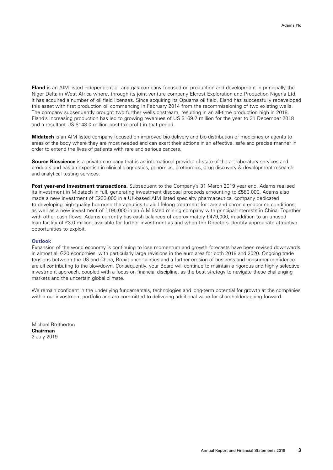**Eland** is an AIM listed independent oil and gas company focused on production and development in principally the Niger Delta in West Africa where, through its joint venture company Elcrest Exploration and Production Nigeria Ltd, it has acquired a number of oil field licenses. Since acquiring its Opuama oil field, Eland has successfully redeveloped this asset with first production oil commencing in February 2014 from the recommissioning of two existing wells. The company subsequently brought two further wells onstream, resulting in an all-time production high in 2018. Eland's increasing production has led to growing revenues of US \$169.2 million for the year to 31 December 2018 and a resultant US \$148.0 million post-tax profit in that period.

**Midatech** is an AIM listed company focused on improved bio-delivery and bio-distribution of medicines or agents to areas of the body where they are most needed and can exert their actions in an effective, safe and precise manner in order to extend the lives of patients with rare and serious cancers.

**Source Bioscience** is a private company that is an international provider of state-of-the art laboratory services and products and has an expertise in clinical diagnostics, genomics, proteomics, drug discovery & development research and analytical testing services.

**Post year-end investment transactions.** Subsequent to the Company's 31 March 2019 year end, Adams realised its investment in Midatech in full, generating investment disposal proceeds amounting to £580,000. Adams also made a new investment of £233,000 in a UK-based AIM listed specialty pharmaceutical company dedicated to developing high-quality hormone therapeutics to aid lifelong treatment for rare and chronic endocrine conditions, as well as a new investment of £195,000 in an AIM listed mining company with principal interests in China. Together with other cash flows, Adams currently has cash balances of approximately £479,000, in addition to an unused loan facility of £3.0 million, available for further investment as and when the Directors identify appropriate attractive opportunities to exploit.

# **Outlook**

Expansion of the world economy is continuing to lose momentum and growth forecasts have been revised downwards in almost all G20 economies, with particularly large revisions in the euro area for both 2019 and 2020. Ongoing trade tensions between the US and China, Brexit uncertainties and a further erosion of business and consumer confidence are all contributing to the slowdown. Consequently, your Board will continue to maintain a rigorous and highly selective investment approach, coupled with a focus on financial discipline, as the best strategy to navigate these challenging markets and the uncertain global climate.

We remain confident in the underlying fundamentals, technologies and long-term potential for growth at the companies within our investment portfolio and are committed to delivering additional value for shareholders going forward.

Michael Bretherton **Chairman** 2 July 2019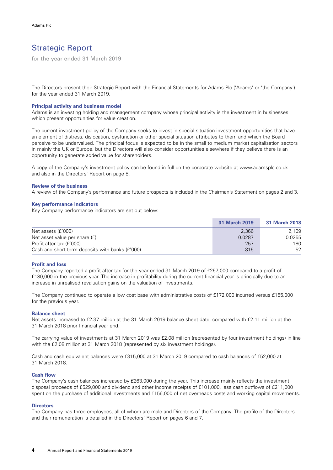# Strategic Report

for the year ended 31 March 2019

The Directors present their Strategic Report with the Financial Statements for Adams Plc ('Adams' or 'the Company') for the year ended 31 March 2019.

#### **Principal activity and business model**

Adams is an investing holding and management company whose principal activity is the investment in businesses which present opportunities for value creation.

The current investment policy of the Company seeks to invest in special situation investment opportunities that have an element of distress, dislocation, dysfunction or other special situation attributes to them and which the Board perceive to be undervalued. The principal focus is expected to be in the small to medium market capitalisation sectors in mainly the UK or Europe, but the Directors will also consider opportunities elsewhere if they believe there is an opportunity to generate added value for shareholders.

A copy of the Company's investment policy can be found in full on the corporate website at www.adamsplc.co.uk and also in the Directors' Report on page 8.

#### **Review of the business**

A review of the Company's performance and future prospects is included in the Chairman's Statement on pages 2 and 3.

#### **Key performance indicators**

Key Company performance indicators are set out below:

|                                                 | 31 March 2019 | 31 March 2018 |
|-------------------------------------------------|---------------|---------------|
| Net assets (£'000)                              | 2.366         | 2.109         |
| Net asset value per share $(E)$                 | 0.0287        | 0.0255        |
| Profit after tax (£'000)                        | 257           | 180           |
| Cash and short-term deposits with banks (£'000) | 315           | .52           |

#### **Profit and loss**

The Company reported a profit after tax for the year ended 31 March 2019 of £257,000 compared to a profit of £180,000 in the previous year. The increase in profitability during the current financial year is principally due to an increase in unrealised revaluation gains on the valuation of investments.

The Company continued to operate a low cost base with administrative costs of £172,000 incurred versus £155,000 for the previous year.

#### **Balance sheet**

Net assets increased to £2.37 million at the 31 March 2019 balance sheet date, compared with £2.11 million at the 31 March 2018 prior financial year end.

The carrying value of investments at 31 March 2019 was £2.08 million (represented by four investment holdings) in line with the £2.08 million at 31 March 2018 (represented by six investment holdings).

Cash and cash equivalent balances were £315,000 at 31 March 2019 compared to cash balances of £52,000 at 31 March 2018.

#### **Cash flow**

The Company's cash balances increased by £263,000 during the year. This increase mainly reflects the investment disposal proceeds of £529,000 and dividend and other income receipts of £101,000, less cash outflows of £211,000 spent on the purchase of additional investments and £156,000 of net overheads costs and working capital movements.

### **Directors**

The Company has three employees, all of whom are male and Directors of the Company. The profile of the Directors and their remuneration is detailed in the Directors' Report on pages 6 and 7.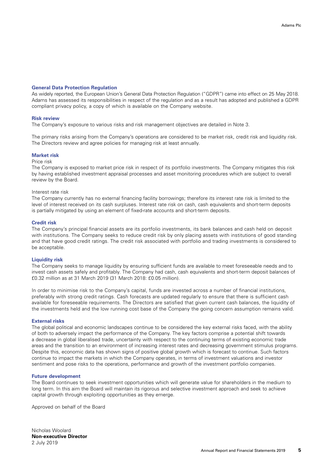### **General Data Protection Regulation**

As widely reported, the European Union's General Data Protection Regulation ("GDPR") came into effect on 25 May 2018. Adams has assessed its responsibilities in respect of the regulation and as a result has adopted and published a GDPR compliant privacy policy, a copy of which is available on the Company website.

#### **Risk review**

The Company's exposure to various risks and risk management objectives are detailed in Note 3.

The primary risks arising from the Company's operations are considered to be market risk, credit risk and liquidity risk. The Directors review and agree policies for managing risk at least annually.

# **Market risk**

#### Price risk

The Company is exposed to market price risk in respect of its portfolio investments. The Company mitigates this risk by having established investment appraisal processes and asset monitoring procedures which are subject to overall review by the Board.

#### Interest rate risk

The Company currently has no external financing facility borrowings; therefore its interest rate risk is limited to the level of interest received on its cash surpluses. Interest rate risk on cash, cash equivalents and short-term deposits is partially mitigated by using an element of fixed-rate accounts and short-term deposits.

#### **Credit risk**

The Company's principal financial assets are its portfolio investments, its bank balances and cash held on deposit with institutions. The Company seeks to reduce credit risk by only placing assets with institutions of good standing and that have good credit ratings. The credit risk associated with portfolio and trading investments is considered to be acceptable.

#### **Liquidity risk**

The Company seeks to manage liquidity by ensuring sufficient funds are available to meet foreseeable needs and to invest cash assets safely and profitably. The Company had cash, cash equivalents and short-term deposit balances of £0.32 million as at 31 March 2019 (31 March 2018: £0.05 million).

In order to minimise risk to the Company's capital, funds are invested across a number of financial institutions, preferably with strong credit ratings. Cash forecasts are updated regularly to ensure that there is sufficient cash available for foreseeable requirements. The Directors are satisfied that given current cash balances, the liquidity of the investments held and the low running cost base of the Company the going concern assumption remains valid.

#### **External risks**

The global political and economic landscapes continue to be considered the key external risks faced, with the ability of both to adversely impact the performance of the Company. The key factors comprise a potential shift towards a decrease in global liberalised trade, uncertainty with respect to the continuing terms of existing economic trade areas and the transition to an environment of increasing interest rates and decreasing government stimulus programs. Despite this, economic data has shown signs of positive global growth which is forecast to continue. Such factors continue to impact the markets in which the Company operates, in terms of investment valuations and investor sentiment and pose risks to the operations, performance and growth of the investment portfolio companies.

#### **Future development**

The Board continues to seek investment opportunities which will generate value for shareholders in the medium to long term. In this aim the Board will maintain its rigorous and selective investment approach and seek to achieve capital growth through exploiting opportunities as they emerge.

Approved on behalf of the Board

Nicholas Woolard **Non-executive Director** 2 July 2019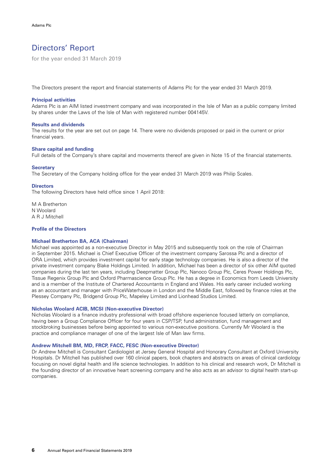# Directors' Report

for the year ended 31 March 2019

The Directors present the report and financial statements of Adams Plc for the year ended 31 March 2019.

#### **Principal activities**

Adams Plc is an AIM listed investment company and was incorporated in the Isle of Man as a public company limited by shares under the Laws of the Isle of Man with registered number 004145V.

#### **Results and dividends**

The results for the year are set out on page 14. There were no dividends proposed or paid in the current or prior financial years.

#### **Share capital and funding**

Full details of the Company's share capital and movements thereof are given in Note 15 of the financial statements.

#### **Secretary**

The Secretary of the Company holding office for the year ended 31 March 2019 was Philip Scales.

#### **Directors**

The following Directors have held office since 1 April 2018:

M A Bretherton N Woolard A R J Mitchell

# **Profile of the Directors**

#### **Michael Bretherton BA, ACA (Chairman)**

Michael was appointed as a non-executive Director in May 2015 and subsequently took on the role of Chairman in September 2015. Michael is Chief Executive Officer of the investment company Sarossa Plc and a director of ORA Limited, which provides investment capital for early stage technology companies. He is also a director of the private investment company Blake Holdings Limited. In addition, Michael has been a director of six other AIM quoted companies during the last ten years, including Deepmatter Group Plc, Nanoco Group Plc, Ceres Power Holdings Plc, Tissue Regenix Group Plc and Oxford Pharmascience Group Plc. He has a degree in Economics from Leeds University and is a member of the Institute of Chartered Accountants in England and Wales. His early career included working as an accountant and manager with PriceWaterhouse in London and the Middle East, followed by finance roles at the Plessey Company Plc, Bridgend Group Plc, Mapeley Limited and Lionhead Studios Limited.

#### **Nicholas Woolard ACIB, MCSI (Non-executive Director)**

Nicholas Woolard is a finance industry professional with broad offshore experience focused latterly on compliance, having been a Group Compliance Officer for four years in CSP/TSP, fund administration, fund management and stockbroking businesses before being appointed to various non-executive positions. Currently Mr Woolard is the practice and compliance manager of one of the largest Isle of Man law firms.

### **Andrew Mitchell BM, MD, FRCP, FACC, FESC (Non-executive Director)**

Dr Andrew Mitchell is Consultant Cardiologist at Jersey General Hospital and Honorary Consultant at Oxford University Hospitals. Dr Mitchell has published over 160 clinical papers, book chapters and abstracts on areas of clinical cardiology focusing on novel digital health and life science technologies. In addition to his clinical and research work, Dr Mitchell is the founding director of an innovative heart screening company and he also acts as an advisor to digital health start-up companies.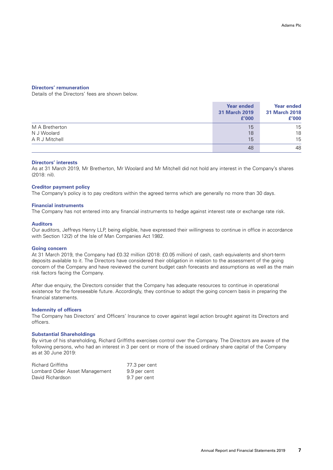#### **Directors' remuneration**

Details of the Directors' fees are shown below.

|                | <b>Year ended</b><br>31 March 2019<br>£'000 | <b>Year ended</b><br>31 March 2018<br>£'000 |
|----------------|---------------------------------------------|---------------------------------------------|
| M A Bretherton | 15                                          | 15                                          |
| N J Woolard    | 18                                          | 18                                          |
| A R J Mitchell | 15                                          | 15                                          |
|                | 48                                          | 48                                          |

#### **Directors' interests**

As at 31 March 2019, Mr Bretherton, Mr Woolard and Mr Mitchell did not hold any interest in the Company's shares (2018: nil).

#### **Creditor payment policy**

The Company's policy is to pay creditors within the agreed terms which are generally no more than 30 days.

### **Financial instruments**

The Company has not entered into any financial instruments to hedge against interest rate or exchange rate risk.

#### **Auditors**

Our auditors, Jeffreys Henry LLP, being eligible, have expressed their willingness to continue in office in accordance with Section 12(2) of the Isle of Man Companies Act 1982.

#### **Going concern**

At 31 March 2019, the Company had £0.32 million (2018: £0.05 million) of cash, cash equivalents and short-term deposits available to it. The Directors have considered their obligation in relation to the assessment of the going concern of the Company and have reviewed the current budget cash forecasts and assumptions as well as the main risk factors facing the Company.

After due enquiry, the Directors consider that the Company has adequate resources to continue in operational existence for the foreseeable future. Accordingly, they continue to adopt the going concern basis in preparing the financial statements.

#### **Indemnity of officers**

The Company has Directors' and Officers' Insurance to cover against legal action brought against its Directors and officers.

# **Substantial Shareholdings**

By virtue of his shareholding, Richard Griffiths exercises control over the Company. The Directors are aware of the following persons, who had an interest in 3 per cent or more of the issued ordinary share capital of the Company as at 30 June 2019:

| <b>Richard Griffiths</b>       | 77.3 per cent |
|--------------------------------|---------------|
| Lombard Odier Asset Management | 9.9 per cent  |
| David Richardson               | 9.7 per cent  |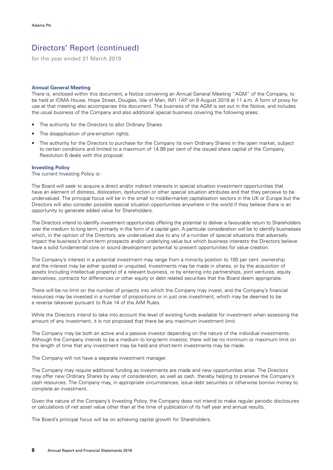# Directors' Report (continued)

for the year ended 31 March 2019

# **Annual General Meeting**

There is, enclosed within this document, a Notice convening an Annual General Meeting "AGM" of the Company, to be held at IOMA House, Hope Street, Douglas, Isle of Man, IM1 1AP on 9 August 2019 at 11 a.m. A form of proxy for use at that meeting also accompanies this document. The business of the AGM is set out in the Notice, and includes the usual business of the Company and also additional special business covering the following areas:

- The authority for the Directors to allot Ordinary Shares.
- The disapplication of pre-emption rights.
- The authority for the Directors to purchase for the Company its own Ordinary Shares in the open market, subject to certain conditions and limited to a maximum of 14.99 per cent of the issued share capital of the Company. Resolution 6 deals with this proposal.

### **Investing Policy**

The current Investing Policy is:

The Board will seek to acquire a direct and/or indirect interests in special situation investment opportunities that have an element of distress, dislocation, dysfunction or other special situation attributes and that they perceive to be undervalued. The principal focus will be in the small to middle-market capitalisation sectors in the UK or Europe but the Directors will also consider possible special situation opportunities anywhere in the world if they believe there is an opportunity to generate added value for Shareholders.

The Directors intend to identify investment opportunities offering the potential to deliver a favourable return to Shareholders over the medium to long term, primarily in the form of a capital gain. A particular consideration will be to identify businesses which, in the opinion of the Directors, are undervalued due to any of a number of special situations that adversely impact the business's short-term prospects and/or underlying value but which business interests the Directors believe have a solid fundamental core or sound development potential to present opportunities for value creation.

The Company's interest in a potential investment may range from a minority position to 100 per cent. ownership and the interest may be either quoted or unquoted. Investments may be made in shares, or by the acquisition of assets (including intellectual property) of a relevant business, or by entering into partnerships, joint ventures, equity derivatives, contracts for differences or other equity or debt related securities that the Board deem appropriate.

There will be no limit on the number of projects into which the Company may invest, and the Company's financial resources may be invested in a number of propositions or in just one investment, which may be deemed to be a reverse takeover pursuant to Rule 14 of the AIM Rules.

While the Directors intend to take into account the level of existing funds available for investment when assessing the amount of any investment, it is not proposed that there be any maximum investment limit.

The Company may be both an active and a passive investor depending on the nature of the individual investments. Although the Company intends to be a medium to long-term investor, there will be no minimum or maximum limit on the length of time that any investment may be held and short-term investments may be made.

The Company will not have a separate investment manager.

The Company may require additional funding as investments are made and new opportunities arise. The Directors may offer new Ordinary Shares by way of consideration, as well as cash, thereby helping to preserve the Company's cash resources. The Company may, in appropriate circumstances, issue debt securities or otherwise borrow money to complete an investment.

Given the nature of the Company's Investing Policy, the Company does not intend to make regular periodic disclosures or calculations of net asset value other than at the time of publication of its half year and annual results.

The Board's principal focus will be on achieving capital growth for Shareholders.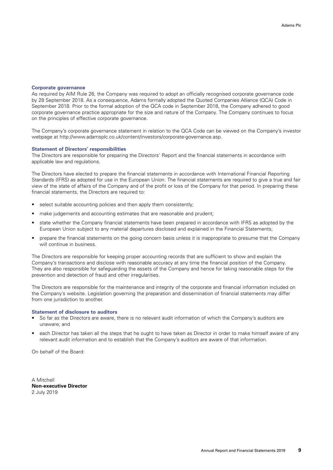#### **Corporate governance**

As required by AIM Rule 26, the Company was required to adopt an officially recognised corporate governance code by 28 September 2018. As a consequence, Adams formally adopted the Quoted Companies Alliance (QCA) Code in September 2018. Prior to the formal adoption of the QCA code in September 2018, the Company adhered to good corporate governance practice appropriate for the size and nature of the Company. The Company continues to focus on the principles of effective corporate governance.

The Company's corporate governance statement in relation to the QCA Code can be viewed on the Company's investor webpage at http://www.adamsplc.co.uk/content/investors/corporate-governance.asp.

#### **Statement of Directors' responsibilities**

The Directors are responsible for preparing the Directors' Report and the financial statements in accordance with applicable law and regulations.

The Directors have elected to prepare the financial statements in accordance with International Financial Reporting Standards (IFRS) as adopted for use in the European Union. The financial statements are required to give a true and fair view of the state of affairs of the Company and of the profit or loss of the Company for that period. In preparing these financial statements, the Directors are required to:

- select suitable accounting policies and then apply them consistently;
- make judgements and accounting estimates that are reasonable and prudent;
- state whether the Company financial statements have been prepared in accordance with IFRS as adopted by the European Union subject to any material departures disclosed and explained in the Financial Statements;
- prepare the financial statements on the going concern basis unless it is inappropriate to presume that the Company will continue in business.

The Directors are responsible for keeping proper accounting records that are sufficient to show and explain the Company's transactions and disclose with reasonable accuracy at any time the financial position of the Company. They are also responsible for safeguarding the assets of the Company and hence for taking reasonable steps for the prevention and detection of fraud and other irregularities.

The Directors are responsible for the maintenance and integrity of the corporate and financial information included on the Company's website. Legislation governing the preparation and dissemination of financial statements may differ from one jurisdiction to another.

#### **Statement of disclosure to auditors**

- So far as the Directors are aware, there is no relevant audit information of which the Company's auditors are unaware; and
- each Director has taken all the steps that he ought to have taken as Director in order to make himself aware of any relevant audit information and to establish that the Company's auditors are aware of that information.

On behalf of the Board:

A Mitchell **Non-executive Director** 2 July 2019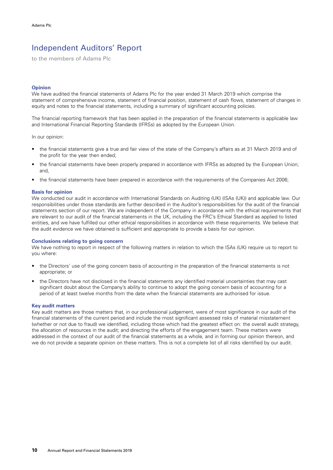# Independent Auditors' Report

to the members of Adams Plc

# **Opinion**

We have audited the financial statements of Adams Plc for the year ended 31 March 2019 which comprise the statement of comprehensive income, statement of financial position, statement of cash flows, statement of changes in equity and notes to the financial statements, including a summary of significant accounting policies.

The financial reporting framework that has been applied in the preparation of the financial statements is applicable law and International Financial Reporting Standards (IFRSs) as adopted by the European Union.

In our opinion:

- the financial statements give a true and fair view of the state of the Company's affairs as at 31 March 2019 and of the profit for the year then ended;
- the financial statements have been properly prepared in accordance with IFRSs as adopted by the European Union; and,
- the financial statements have been prepared in accordance with the requirements of the Companies Act 2006;

### **Basis for opinion**

We conducted our audit in accordance with International Standards on Auditing (UK) (ISAs (UK)) and applicable law. Our responsibilities under those standards are further described in the Auditor's responsibilities for the audit of the financial statements section of our report. We are independent of the Company in accordance with the ethical requirements that are relevant to our audit of the financial statements in the UK, including the FRC's Ethical Standard as applied to listed entities, and we have fulfilled our other ethical responsibilities in accordance with these requirements. We believe that the audit evidence we have obtained is sufficient and appropriate to provide a basis for our opinion.

### **Conclusions relating to going concern**

We have nothing to report in respect of the following matters in relation to which the ISAs (UK) require us to report to you where:

- the Directors' use of the going concern basis of accounting in the preparation of the financial statements is not appropriate; or
- the Directors have not disclosed in the financial statements any identified material uncertainties that may cast significant doubt about the Company's ability to continue to adopt the going concern basis of accounting for a period of at least twelve months from the date when the financial statements are authorised for issue.

### **Key audit matters**

Key audit matters are those matters that, in our professional judgement, were of most significance in our audit of the financial statements of the current period and include the most significant assessed risks of material misstatement (whether or not due to fraud) we identified, including those which had the greatest effect on: the overall audit strategy, the allocation of resources in the audit; and directing the efforts of the engagement team. These matters were addressed in the context of our audit of the financial statements as a whole, and in forming our opinion thereon, and we do not provide a separate opinion on these matters. This is not a complete list of all risks identified by our audit.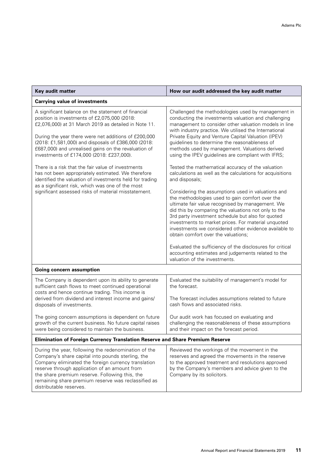| Key audit matter                                                                                                                                                                                                                                                                                                                                                                | How our audit addressed the key audit matter                                                                                                                                                                                                                                                                                                                                                                                                 |
|---------------------------------------------------------------------------------------------------------------------------------------------------------------------------------------------------------------------------------------------------------------------------------------------------------------------------------------------------------------------------------|----------------------------------------------------------------------------------------------------------------------------------------------------------------------------------------------------------------------------------------------------------------------------------------------------------------------------------------------------------------------------------------------------------------------------------------------|
| <b>Carrying value of investments</b>                                                                                                                                                                                                                                                                                                                                            |                                                                                                                                                                                                                                                                                                                                                                                                                                              |
| A significant balance on the statement of financial<br>position is investments of £2,075,000 (2018:<br>£2,076,000) at 31 March 2019 as detailed in Note 11.<br>During the year there were net additions of £200,000<br>(2018: £1,581,000) and disposals of £386,000 (2018:<br>£687,000) and unrealised gains on the revaluation of<br>investments of £174,000 (2018: £237,000). | Challenged the methodologies used by management in<br>conducting the investments valuation and challenging<br>management to consider other valuation models in line<br>with industry practice. We utilised the International<br>Private Equity and Venture Capital Valuation (IPEV)<br>guidelines to determine the reasonableness of<br>methods used by management. Valuations derived<br>using the IPEV guidelines are compliant with IFRS; |
| There is a risk that the fair value of investments<br>has not been appropriately estimated. We therefore<br>identified the valuation of investments held for trading<br>as a significant risk, which was one of the most                                                                                                                                                        | Tested the mathematical accuracy of the valuation<br>calculations as well as the calculations for acquisitions<br>and disposals;                                                                                                                                                                                                                                                                                                             |
| significant assessed risks of material misstatement.                                                                                                                                                                                                                                                                                                                            | Considering the assumptions used in valuations and<br>the methodologies used to gain comfort over the<br>ultimate fair value recognised by management. We<br>did this by comparing the valuations not only to the<br>3rd party investment schedule but also for quoted<br>investments to market prices. For material unquoted<br>investments we considered other evidence available to<br>obtain comfort over the valuations;                |
|                                                                                                                                                                                                                                                                                                                                                                                 | Evaluated the sufficiency of the disclosures for critical<br>accounting estimates and judgements related to the<br>valuation of the investments.                                                                                                                                                                                                                                                                                             |
| Going concern assumption                                                                                                                                                                                                                                                                                                                                                        |                                                                                                                                                                                                                                                                                                                                                                                                                                              |
| The Company is dependent upon its ability to generate<br>sufficient cash flows to meet continued operational<br>costs and hence continue trading. This income is                                                                                                                                                                                                                | Evaluated the suitability of management's model for<br>the forecast.                                                                                                                                                                                                                                                                                                                                                                         |
| derived from dividend and interest income and gains/<br>disposals of investments.                                                                                                                                                                                                                                                                                               | The forecast includes assumptions related to future<br>cash flows and associated risks.                                                                                                                                                                                                                                                                                                                                                      |
| The going concern assumptions is dependent on future<br>growth of the current business. No future capital raises<br>were being considered to maintain the business.                                                                                                                                                                                                             | Our audit work has focused on evaluating and<br>challenging the reasonableness of these assumptions<br>and their impact on the forecast period.                                                                                                                                                                                                                                                                                              |
| Elimination of Foreign Currency Translation Reserve and Share Premium Reserve                                                                                                                                                                                                                                                                                                   |                                                                                                                                                                                                                                                                                                                                                                                                                                              |
| During the year, following the redenomination of the<br>Company's share capital into pounds sterling, the<br>Company eliminated the foreign currency translation<br>reserve through application of an amount from<br>the share premium reserve. Following this, the<br>remaining share premium reserve was reclassified as<br>distributable reserves.                           | Reviewed the workings of the movement in the<br>reserves and agreed the movements in the reserve<br>to the approved treatment and resolutions approved<br>by the Company's members and advice given to the<br>Company by its solicitors.                                                                                                                                                                                                     |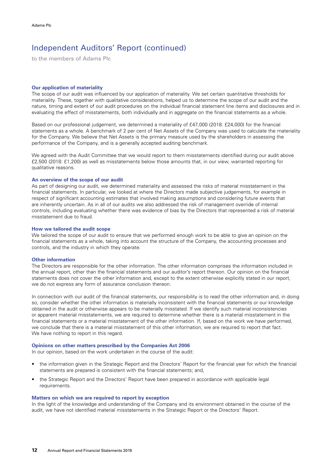# Independent Auditors' Report (continued)

to the members of Adams Plc

#### **Our application of materiality**

The scope of our audit was influenced by our application of materiality. We set certain quantitative thresholds for materiality. These, together with qualitative considerations, helped us to determine the scope of our audit and the nature, timing and extent of our audit procedures on the individual financial statement line items and disclosures and in evaluating the effect of misstatements, both individually and in aggregate on the financial statements as a whole.

Based on our professional judgement, we determined a materiality of £47,000 (2018: £24,000) for the financial statements as a whole. A benchmark of 2 per cent of Net Assets of the Company was used to calculate the materiality for the Company. We believe that Net Assets is the primary measure used by the shareholders in assessing the performance of the Company, and is a generally accepted auditing benchmark.

We agreed with the Audit Committee that we would report to them misstatements identified during our audit above £2,500 (2018: £1,200) as well as misstatements below those amounts that, in our view, warranted reporting for qualitative reasons.

#### **An overview of the scope of our audit**

As part of designing our audit, we determined materiality and assessed the risks of material misstatement in the financial statements. In particular, we looked at where the Directors made subjective judgements, for example in respect of significant accounting estimates that involved making assumptions and considering future events that are inherently uncertain. As in all of our audits we also addressed the risk of management override of internal controls, including evaluating whether there was evidence of bias by the Directors that represented a risk of material misstatement due to fraud.

#### **How we tailored the audit scope**

We tailored the scope of our audit to ensure that we performed enough work to be able to give an opinion on the financial statements as a whole, taking into account the structure of the Company, the accounting processes and controls, and the industry in which they operate.

#### **Other information**

The Directors are responsible for the other information. The other information comprises the information included in the annual report, other than the financial statements and our auditor's report thereon. Our opinion on the financial statements does not cover the other information and, except to the extent otherwise explicitly stated in our report, we do not express any form of assurance conclusion thereon.

In connection with our audit of the financial statements, our responsibility is to read the other information and, in doing so, consider whether the other information is materially inconsistent with the financial statements or our knowledge obtained in the audit or otherwise appears to be materially misstated. If we identify such material inconsistencies or apparent material misstatements, we are required to determine whether there is a material misstatement in the financial statements or a material misstatement of the other information. If, based on the work we have performed, we conclude that there is a material misstatement of this other information, we are required to report that fact. We have nothing to report in this regard.

#### **Opinions on other matters prescribed by the Companies Act 2006**

In our opinion, based on the work undertaken in the course of the audit:

- the information given in the Strategic Report and the Directors' Report for the financial year for which the financial statements are prepared is consistent with the financial statements; and,
- the Strategic Report and the Directors' Report have been prepared in accordance with applicable legal requirements.

#### **Matters on which we are required to report by exception**

In the light of the knowledge and understanding of the Company and its environment obtained in the course of the audit, we have not identified material misstatements in the Strategic Report or the Directors' Report.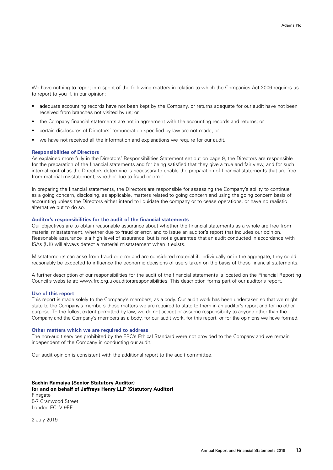We have nothing to report in respect of the following matters in relation to which the Companies Act 2006 requires us to report to you if, in our opinion:

- adequate accounting records have not been kept by the Company, or returns adequate for our audit have not been received from branches not visited by us; or
- the Company financial statements are not in agreement with the accounting records and returns; or
- certain disclosures of Directors' remuneration specified by law are not made; or
- we have not received all the information and explanations we require for our audit.

#### **Responsibilities of Directors**

As explained more fully in the Directors' Responsibilities Statement set out on page 9, the Directors are responsible for the preparation of the financial statements and for being satisfied that they give a true and fair view, and for such internal control as the Directors determine is necessary to enable the preparation of financial statements that are free from material misstatement, whether due to fraud or error.

In preparing the financial statements, the Directors are responsible for assessing the Company's ability to continue as a going concern, disclosing, as applicable, matters related to going concern and using the going concern basis of accounting unless the Directors either intend to liquidate the company or to cease operations, or have no realistic alternative but to do so.

#### **Auditor's responsibilities for the audit of the financial statements**

Our objectives are to obtain reasonable assurance about whether the financial statements as a whole are free from material misstatement, whether due to fraud or error, and to issue an auditor's report that includes our opinion. Reasonable assurance is a high level of assurance, but is not a guarantee that an audit conducted in accordance with ISAs (UK) will always detect a material misstatement when it exists.

Misstatements can arise from fraud or error and are considered material if, individually or in the aggregate, they could reasonably be expected to influence the economic decisions of users taken on the basis of these financial statements.

A further description of our responsibilities for the audit of the financial statements is located on the Financial Reporting Council's website at: www.frc.org.uk/auditorsresponsibilities. This description forms part of our auditor's report.

#### **Use of this report**

This report is made solely to the Company's members, as a body. Our audit work has been undertaken so that we might state to the Company's members those matters we are required to state to them in an auditor's report and for no other purpose. To the fullest extent permitted by law, we do not accept or assume responsibility to anyone other than the Company and the Company's members as a body, for our audit work, for this report, or for the opinions we have formed.

#### **Other matters which we are required to address**

The non-audit services prohibited by the FRC's Ethical Standard were not provided to the Company and we remain independent of the Company in conducting our audit.

Our audit opinion is consistent with the additional report to the audit committee.

### **Sachin Ramaiya (Senior Statutory Auditor) for and on behalf of Jeffreys Henry LLP (Statutory Auditor)** Finsgate 5-7 Cranwood Street London EC1V 9EE

2 July 2019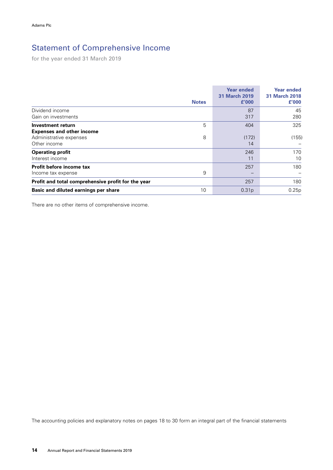# Statement of Comprehensive Income

for the year ended 31 March 2019

|                                                    | <b>Notes</b> | <b>Year ended</b><br>31 March 2019<br>£'000 | <b>Year ended</b><br><b>31 March 2018</b><br>£'000 |
|----------------------------------------------------|--------------|---------------------------------------------|----------------------------------------------------|
|                                                    |              |                                             |                                                    |
| Dividend income                                    |              | 87                                          | 45                                                 |
| Gain on investments                                |              | 317                                         | 280                                                |
| Investment return                                  | 5            | 404                                         | 325                                                |
| <b>Expenses and other income</b>                   |              |                                             |                                                    |
| Administrative expenses                            | 8            | (172)                                       | (155)                                              |
| Other income                                       |              | 14                                          |                                                    |
| <b>Operating profit</b>                            |              | 246                                         | 170                                                |
| Interest income                                    |              | 11                                          | 10                                                 |
| Profit before income tax                           |              | 257                                         | 180                                                |
| Income tax expense                                 | 9            |                                             |                                                    |
| Profit and total comprehensive profit for the year |              | 257                                         | 180                                                |
| Basic and diluted earnings per share               | 10           | 0.31 <sub>p</sub>                           | 0.25p                                              |

There are no other items of comprehensive income.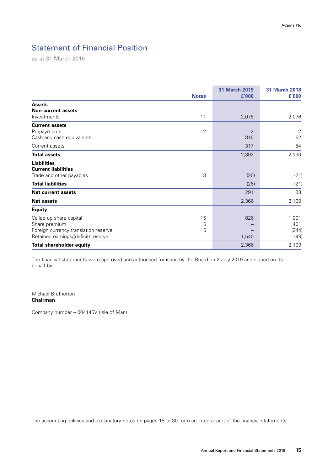# Statement of Financial Position

as at 31 March 2019

|                                                  | <b>Notes</b> | 31 March 2019<br>£'000 | <b>31 March 2018</b><br>£'000 |
|--------------------------------------------------|--------------|------------------------|-------------------------------|
| <b>Assets</b>                                    |              |                        |                               |
| <b>Non-current assets</b>                        |              |                        |                               |
| Investments                                      | 11           | 2,075                  | 2,076                         |
| <b>Current assets</b>                            |              |                        |                               |
| Prepayments                                      | 12           | 2                      | 2                             |
| Cash and cash equivalents                        |              | 315                    | 52                            |
| Current assets                                   |              | 317                    | 54                            |
| <b>Total assets</b>                              |              | 2,392                  | 2,130                         |
| <b>Liabilities</b><br><b>Current liabilities</b> |              |                        |                               |
| Trade and other payables                         | 13           | (26)                   | (21)                          |
| <b>Total liabilities</b>                         |              | (26)                   | (21)                          |
| <b>Net current assets</b>                        |              | 291                    | 33                            |
| <b>Net assets</b>                                |              | 2,366                  | 2,109                         |
| <b>Equity</b>                                    |              |                        |                               |
| Called up share capital                          | 15           | 826                    | 1,001                         |
| Share premium                                    | 15           |                        | 1,401                         |
| Foreign currency translation reserve             | 15           |                        | (244)                         |
| Retained earnings/(deficit) reserve              |              | 1,540                  | (49)                          |
| <b>Total shareholder equity</b>                  |              | 2,366                  | 2,109                         |

The financial statements were approved and authorised for issue by the Board on 2 July 2019 and signed on its behalf by:

Michael Bretherton **Chairman**

Company number – 004145V (Isle of Man)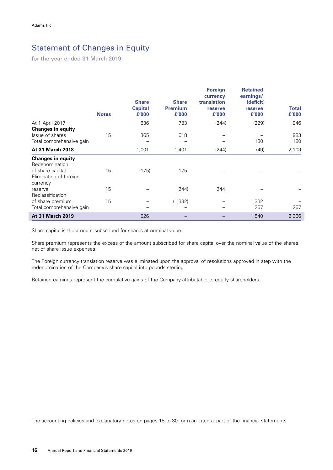# Statement of Changes in Equity

for the year ended 31 March 2019

|                                                        | <b>Notes</b> | <b>Share</b><br><b>Capital</b><br>£'000 | <b>Share</b><br><b>Premium</b><br>£'000 | <b>Foreign</b><br>currency<br>translation<br>reserve<br>£'000 | <b>Retained</b><br>earnings/<br>(deficit)<br>reserve<br>£'000 | <b>Total</b><br>£'000 |
|--------------------------------------------------------|--------------|-----------------------------------------|-----------------------------------------|---------------------------------------------------------------|---------------------------------------------------------------|-----------------------|
| At 1 April 2017                                        |              | 636                                     | 783                                     | (244)                                                         | (229)                                                         | 946                   |
| <b>Changes in equity</b>                               |              |                                         |                                         |                                                               |                                                               |                       |
| Issue of shares                                        | 15           | 365                                     | 618                                     |                                                               |                                                               | 983                   |
| Total comprehensive gain                               |              |                                         |                                         |                                                               | 180                                                           | 180                   |
| <b>At 31 March 2018</b>                                |              | 1,001                                   | 1,401                                   | (244)                                                         | (49)                                                          | 2,109                 |
| <b>Changes in equity</b><br>Redenomination             |              |                                         |                                         |                                                               |                                                               |                       |
| of share capital<br>Elimination of foreign<br>currency | 15           | (175)                                   | 175                                     |                                                               |                                                               |                       |
| reserve<br>Reclassification                            | 15           |                                         | (244)                                   | 244                                                           |                                                               |                       |
| of share premium                                       | 15           |                                         | (1, 332)                                |                                                               | 1,332                                                         |                       |
| Total comprehensive gain                               |              |                                         |                                         |                                                               | 257                                                           | 257                   |
| <b>At 31 March 2019</b>                                |              | 826                                     |                                         |                                                               | 1,540                                                         | 2,366                 |

Share capital is the amount subscribed for shares at nominal value.

Share premium represents the excess of the amount subscribed for share capital over the nominal value of the shares, net of share issue expenses.

The Foreign currency translation reserve was eliminated upon the approval of resolutions approved in step with the redenomination of the Company's share capital into pounds sterling.

Retained earnings represent the cumulative gains of the Company attributable to equity shareholders.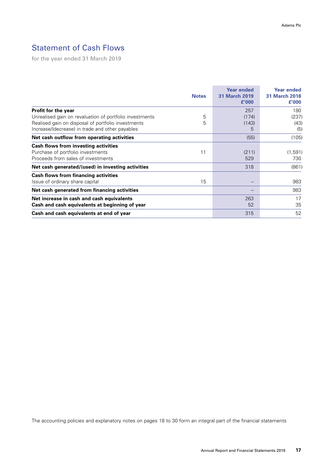# Statement of Cash Flows

for the year ended 31 March 2019

|                                                         | <b>Notes</b> | <b>Year ended</b><br>31 March 2019<br>£'000 | <b>Year ended</b><br><b>31 March 2018</b><br>£'000 |
|---------------------------------------------------------|--------------|---------------------------------------------|----------------------------------------------------|
| Profit for the year                                     |              | 257                                         | 180                                                |
| Unrealised gain on revaluation of portfolio investments | 5            | (174)                                       | (237)                                              |
| Realised gain on disposal of portfolio investments      | 5            | (143)                                       | (43)                                               |
| Increase/(decrease) in trade and other payables         |              | 5                                           | (5)                                                |
| Net cash outflow from operating activities              |              | (55)                                        | (105)                                              |
| Cash flows from investing activities                    |              |                                             |                                                    |
| Purchase of portfolio investments                       | 11           | (211)                                       | (1,591)                                            |
| Proceeds from sales of investments                      |              | 529                                         | 730                                                |
| Net cash generated/(used) in investing activities       |              | 318                                         | (861)                                              |
| <b>Cash flows from financing activities</b>             |              |                                             |                                                    |
| Issue of ordinary share capital                         | 15           |                                             | 983                                                |
| Net cash generated from financing activities            |              |                                             | 983                                                |
| Net increase in cash and cash equivalents               |              | 263                                         | 17                                                 |
| Cash and cash equivalents at beginning of year          |              | 52                                          | 35                                                 |
| Cash and cash equivalents at end of year                |              | 315                                         | 52                                                 |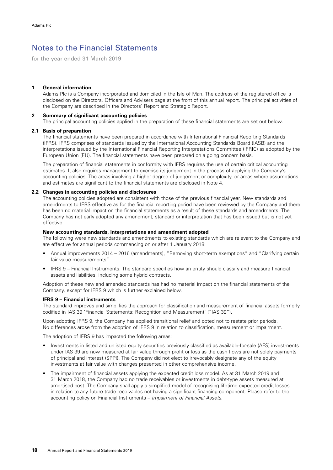# Notes to the Financial Statements

for the year ended 31 March 2019

# **1 General information**

Adams Plc is a Company incorporated and domiciled in the Isle of Man. The address of the registered office is disclosed on the Directors, Officers and Advisers page at the front of this annual report. The principal activities of the Company are described in the Directors' Report and Strategic Report.

# **2 Summary of significant accounting policies**

The principal accounting policies applied in the preparation of these financial statements are set out below.

# **2.1 Basis of preparation**

The financial statements have been prepared in accordance with International Financial Reporting Standards (IFRS). IFRS comprises of standards issued by the International Accounting Standards Board (IASB) and the interpretations issued by the International Financial Reporting Interpretations Committee (IFRIC) as adopted by the European Union (EU). The financial statements have been prepared on a going concern basis.

The preparation of financial statements in conformity with IFRS requires the use of certain critical accounting estimates. It also requires management to exercise its judgement in the process of applying the Company's accounting policies. The areas involving a higher degree of judgement or complexity, or areas where assumptions and estimates are significant to the financial statements are disclosed in Note 4.

# **2.2 Changes in accounting policies and disclosures**

The accounting policies adopted are consistent with those of the previous financial year. New standards and amendments to IFRS effective as for the financial reporting period have been reviewed by the Company and there has been no material impact on the financial statements as a result of these standards and amendments. The Company has not early adopted any amendment, standard or interpretation that has been issued but is not yet effective.

### **New accounting standards, interpretations and amendment adopted**

The following were new standards and amendments to existing standards which are relevant to the Company and are effective for annual periods commencing on or after 1 January 2018:

- Annual improvements 2014 2016 (amendments), "Removing short-term exemptions" and "Clarifying certain fair value measurements".
- IFRS 9 Financial Instruments. The standard specifies how an entity should classify and measure financial assets and liabilities, including some hybrid contracts.

Adoption of these new and amended standards has had no material impact on the financial statements of the Company, except for IFRS 9 which is further explained below.

### **IFRS 9 – Financial instruments**

The standard improves and simplifies the approach for classification and measurement of financial assets formerly codified in IAS 39 'Financial Statements: Recognition and Measurement' ("IAS 39").

Upon adopting IFRS 9, the Company has applied transitional relief and opted not to restate prior periods. No differences arose from the adoption of IFRS 9 in relation to classification, measurement or impairment.

The adoption of IFRS 9 has impacted the following areas:

- Investments in listed and unlisted equity securities previously classified as available-for-sale (AFS) investments under IAS 39 are now measured at fair value through profit or loss as the cash flows are not solely payments of principal and interest (SPPI). The Company did not elect to irrevocably designate any of the equity investments at fair value with changes presented in other comprehensive income.
- The impairment of financial assets applying the expected credit loss model. As at 31 March 2019 and 31 March 2018, the Company had no trade receivables or investments in debt-type assets measured at amortised cost. The Company shall apply a simplified model of recognising lifetime expected credit losses in relation to any future trade receivables not having a significant financing component. Please refer to the accounting policy on Financial Instruments – *Impairment of Financial Assets*.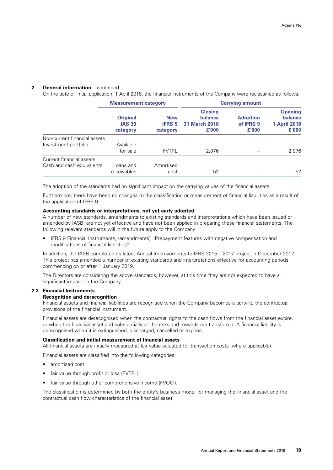### **2 General information** – continued

On the date of initial application, 1 April 2018, the financial instruments of the Company were reclassified as follows:

|                              | <b>Measurement category</b>                  |                                         |                                                     | <b>Carrying amount</b>                |                                                           |
|------------------------------|----------------------------------------------|-----------------------------------------|-----------------------------------------------------|---------------------------------------|-----------------------------------------------------------|
|                              | <b>Original</b><br><b>IAS 39</b><br>category | <b>New</b><br><b>IFRS 9</b><br>category | <b>Closing</b><br>balance<br>31 March 2018<br>£'000 | <b>Adoption</b><br>of IFRS 9<br>£'000 | <b>Opening</b><br>balance<br><b>1 April 2018</b><br>£'000 |
| Non-current financial assets |                                              |                                         |                                                     |                                       |                                                           |
| Investment portfolio         | Available                                    |                                         |                                                     |                                       |                                                           |
|                              | for sale                                     | <b>FVTPL</b>                            | 2.076                                               |                                       | 2,076                                                     |
| Current financial assets     |                                              |                                         |                                                     |                                       |                                                           |
| Cash and cash equivalents    | Loans and                                    | Amortised                               |                                                     |                                       |                                                           |
|                              | receivables                                  | cost                                    | 52                                                  |                                       | 52                                                        |

The adoption of the standards had no significant impact on the carrying values of the financial assets.

Furthermore, there have been no changes to the classification or measurement of financial liabilities as a result of the application of IFRS 9.

#### **Accounting standards or interpretations, not yet early adopted**

A number of new standards, amendments to existing standards and interpretations which have been issued or amended by IASB, are not yet effective and have not been applied in preparing these financial statements. The following relevant standards will in the future apply to the Company:

• IFRS 9 Financial Instruments, (amendments) "Prepayment features with negative compensation and modifications of financial liabilities"

In addition, the IASB completed its latest Annual Improvements to IFRS 2015 – 2017 project in December 2017. This project has amended a number of existing standards and interpretations effective for accounting periods commencing on or after 1 January 2019.

The Directors are considering the above standards, however, at this time they are not expected to have a significant impact on the Company.

#### **2.3 Financial Instruments**

### **Recognition and derecognition**

Financial assets and financial liabilities are recognised when the Company becomes a party to the contractual provisions of the financial instrument.

Financial assets are derecognised when the contractual rights to the cash flows from the financial asset expire, or when the financial asset and substantially all the risks and rewards are transferred. A financial liability is derecognised when it is extinguished, discharged, cancelled or expires.

#### **Classification and initial measurement of financial assets**

All financial assets are initially measured at fair value adjusted for transaction costs (where applicable).

Financial assets are classified into the following categories:

- amortised cost.
- fair value through profit or loss (FVTPL).
- fair value through other comprehensive income (FVOCI).

The classification is determined by both the entity's business model for managing the financial asset and the contractual cash flow characteristics of the financial asset.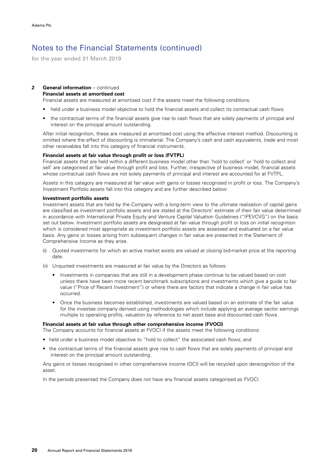# Notes to the Financial Statements (continued)

for the year ended 31 March 2019

# **2 General information** – continued **Financial assets at amortised cost**

Financial assets are measured at amortised cost if the assets meet the following conditions:

- held under a business model objective to hold the financial assets and collect its contractual cash flows.
- the contractual terms of the financial assets give rise to cash flows that are solely payments of principal and interest on the principal amount outstanding.

After initial recognition, these are measured at amortised cost using the effective interest method. Discounting is omitted where the effect of discounting is immaterial. The Company's cash and cash equivalents, trade and most other receivables fall into this category of financial instruments.

### **Financial assets at fair value through profit or loss (FVTPL)**

Financial assets that are held within a different business model other than 'hold to collect' or 'hold to collect and sell' are categorised at fair value through profit and loss. Further, irrespective of business model, financial assets whose contractual cash flows are not solely payments of principal and interest are accounted for at FVTPL.

Assets in this category are measured at fair value with gains or losses recognised in profit or loss. The Company's Investment Portfolio assets fall into this category and are further described below:

### **Investment portfolio assets**

Investment assets that are held by the Company with a long-term view to the ultimate realisation of capital gains are classified as investment portfolio assets and are stated at the Directors' estimate of their fair value determined in accordance with International Private Equity and Venture Capital Valuation Guidelines ("IPEVCVG") on the basis set out below. Investment portfolio assets are designated at fair value through profit or loss on initial recognition which is considered most appropriate as investment portfolio assets are assessed and evaluated on a fair value basis. Any gains or losses arising from subsequent changes in fair value are presented in the Statement of Comprehensive Income as they arise.

- (i) Quoted investments for which an active market exists are valued at closing bid-market price at the reporting date.
- (ii) Unquoted investments are measured at fair value by the Directors as follows:
	- Investments in companies that are still in a development phase continue to be valued based on cost unless there have been more recent benchmark subscriptions and investments which give a guide to fair value ("Price of Recent Investment") or where there are factors that indicate a change in fair value has occurred.
	- Once the business becomes established, investments are valued based on an estimate of the fair value for the investee company derived using methodologies which include applying an average sector earnings multiple to operating profits, valuation by reference to net asset base and discounted cash flows.

### **Financial assets at fair value through other comprehensive income (FVOCI)**

- The Company accounts for financial assets at FVOCI if the assets meet the following conditions:
- held under a business model objective to "hold to collect" the associated cash flows; and
- the contractual terms of the financial assets give rise to cash flows that are solely payments of principal and interest on the principal amount outstanding.

Any gains or losses recognised in other comprehensive income (OCI) will be recycled upon derecognition of the asset.

In the periods presented the Company does not have any financial assets categorised as FVOCI.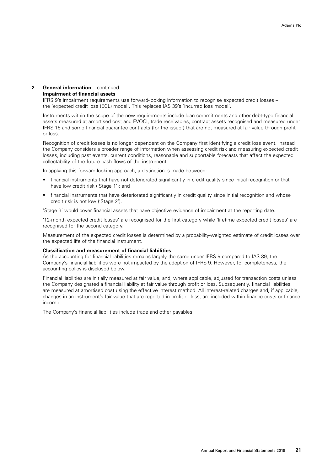#### **2 General information** – continued **Impairment of financial assets**

IFRS 9's impairment requirements use forward-looking information to recognise expected credit losses – the 'expected credit loss (ECL) model'. This replaces IAS 39's 'incurred loss model'.

Instruments within the scope of the new requirements include loan commitments and other debt-type financial assets measured at amortised cost and FVOCI, trade receivables, contract assets recognised and measured under IFRS 15 and some financial guarantee contracts (for the issuer) that are not measured at fair value through profit or loss.

Recognition of credit losses is no longer dependent on the Company first identifying a credit loss event. Instead the Company considers a broader range of information when assessing credit risk and measuring expected credit losses, including past events, current conditions, reasonable and supportable forecasts that affect the expected collectability of the future cash flows of the instrument.

In applying this forward-looking approach, a distinction is made between:

- financial instruments that have not deteriorated significantly in credit quality since initial recognition or that have low credit risk ('Stage 1'); and
- financial instruments that have deteriorated significantly in credit quality since initial recognition and whose credit risk is not low ('Stage 2').

'Stage 3' would cover financial assets that have objective evidence of impairment at the reporting date.

'12-month expected credit losses' are recognised for the first category while 'lifetime expected credit losses' are recognised for the second category.

Measurement of the expected credit losses is determined by a probability-weighted estimate of credit losses over the expected life of the financial instrument.

#### **Classification and measurement of financial liabilities**

As the accounting for financial liabilities remains largely the same under IFRS 9 compared to IAS 39, the Company's financial liabilities were not impacted by the adoption of IFRS 9. However, for completeness, the accounting policy is disclosed below.

Financial liabilities are initially measured at fair value, and, where applicable, adjusted for transaction costs unless the Company designated a financial liability at fair value through profit or loss. Subsequently, financial liabilities are measured at amortised cost using the effective interest method. All interest-related charges and, if applicable, changes in an instrument's fair value that are reported in profit or loss, are included within finance costs or finance income.

The Company's financial liabilities include trade and other payables.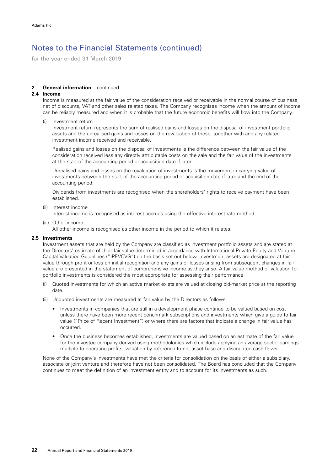# Notes to the Financial Statements (continued)

for the year ended 31 March 2019

# **2 General information** – continued

# **2.4 Income**

Income is measured at the fair value of the consideration received or receivable in the normal course of business, net of discounts, VAT and other sales related taxes. The Company recognises income when the amount of income can be reliably measured and when it is probable that the future economic benefits will flow into the Company.

(i) Investment return

Investment return represents the sum of realised gains and losses on the disposal of investment portfolio assets and the unrealised gains and losses on the revaluation of these, together with and any related investment income received and receivable.

Realised gains and losses on the disposal of investments is the difference between the fair value of the consideration received less any directly attributable costs on the sale and the fair value of the investments at the start of the accounting period or acquisition date if later.

Unrealised gains and losses on the revaluation of investments is the movement in carrying value of investments between the start of the accounting period or acquisition date if later and the end of the accounting period.

Dividends from investments are recognised when the shareholders' rights to receive payment have been established.

(ii) Interest income

Interest income is recognised as interest accrues using the effective interest rate method.

(iii) Other income

All other income is recognised as other income in the period to which it relates.

### **2.5 Investments**

Investment assets that are held by the Company are classified as investment portfolio assets and are stated at the Directors' estimate of their fair value determined in accordance with International Private Equity and Venture Capital Valuation Guidelines ("IPEVCVG") on the basis set out below. Investment assets are designated at fair value through profit or loss on initial recognition and any gains or losses arising from subsequent changes in fair value are presented in the statement of comprehensive income as they arise. A fair value method of valuation for portfolio investments is considered the most appropriate for assessing their performance.

- (i) Quoted investments for which an active market exists are valued at closing bid-market price at the reporting date.
- (ii) Unquoted investments are measured at fair value by the Directors as follows:
	- Investments in companies that are still in a development phase continue to be valued based on cost unless there have been more recent benchmark subscriptions and investments which give a guide to fair value ("Price of Recent Investment") or where there are factors that indicate a change in fair value has occurred.
	- Once the business becomes established, investments are valued based on an estimate of the fair value for the investee company derived using methodologies which include applying an average sector earnings multiple to operating profits, valuation by reference to net asset base and discounted cash flows.

None of the Company's investments have met the criteria for consolidation on the basis of either a subsidiary, associate or joint venture and therefore have not been consolidated. The Board has concluded that the Company continues to meet the definition of an investment entity and to account for its investments as such.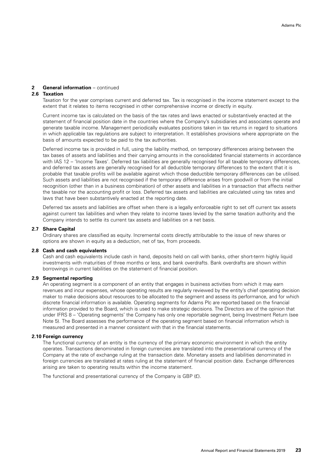#### **2 General information** – continued

# **2.6 Taxation**

Taxation for the year comprises current and deferred tax. Tax is recognised in the income statement except to the extent that it relates to items recognised in other comprehensive income or directly in equity.

Current income tax is calculated on the basis of the tax rates and laws enacted or substantively enacted at the statement of financial position date in the countries where the Company's subsidiaries and associates operate and generate taxable income. Management periodically evaluates positions taken in tax returns in regard to situations in which applicable tax regulations are subject to interpretation. It establishes provisions where appropriate on the basis of amounts expected to be paid to the tax authorities.

Deferred income tax is provided in full, using the liability method, on temporary differences arising between the tax bases of assets and liabilities and their carrying amounts in the consolidated financial statements in accordance with IAS 12 – 'Income Taxes'. Deferred tax liabilities are generally recognised for all taxable temporary differences, and deferred tax assets are generally recognised for all deductible temporary differences to the extent that it is probable that taxable profits will be available against which those deductible temporary differences can be utilised. Such assets and liabilities are not recognised if the temporary difference arises from goodwill or from the initial recognition (other than in a business combination) of other assets and liabilities in a transaction that affects neither the taxable nor the accounting profit or loss. Deferred tax assets and liabilities are calculated using tax rates and laws that have been substantively enacted at the reporting date.

Deferred tax assets and liabilities are offset when there is a legally enforceable right to set off current tax assets against current tax liabilities and when they relate to income taxes levied by the same taxation authority and the Company intends to settle its current tax assets and liabilities on a net basis.

# **2.7 Share Capital**

Ordinary shares are classified as equity. Incremental costs directly attributable to the issue of new shares or options are shown in equity as a deduction, net of tax, from proceeds.

#### **2.8 Cash and cash equivalents**

Cash and cash equivalents include cash in hand, deposits held on call with banks, other short-term highly liquid investments with maturities of three months or less, and bank overdrafts. Bank overdrafts are shown within borrowings in current liabilities on the statement of financial position.

### **2.9 Segmental reporting**

An operating segment is a component of an entity that engages in business activities from which it may earn revenues and incur expenses, whose operating results are regularly reviewed by the entity's chief operating decision maker to make decisions about resources to be allocated to the segment and assess its performance, and for which discrete financial information is available. Operating segments for Adams Plc are reported based on the financial information provided to the Board, which is used to make strategic decisions. The Directors are of the opinion that under IFRS 8 – 'Operating segments' the Company has only one reportable segment, being Investment Return (see Note 5). The Board assesses the performance of the operating segment based on financial information which is measured and presented in a manner consistent with that in the financial statements.

#### **2.10 Foreign currency**

The functional currency of an entity is the currency of the primary economic environment in which the entity operates. Transactions denominated in foreign currencies are translated into the presentational currency of the Company at the rate of exchange ruling at the transaction date. Monetary assets and liabilities denominated in foreign currencies are translated at rates ruling at the statement of financial position date. Exchange differences arising are taken to operating results within the income statement.

The functional and presentational currency of the Company is GBP (£).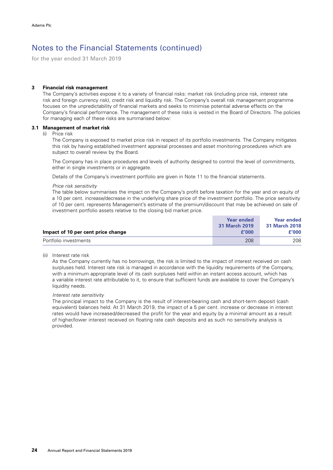# Notes to the Financial Statements (continued)

for the year ended 31 March 2019

# **3 Financial risk management**

The Company's activities expose it to a variety of financial risks: market risk (including price risk, interest rate risk and foreign currency risk), credit risk and liquidity risk. The Company's overall risk management programme focuses on the unpredictability of financial markets and seeks to minimise potential adverse effects on the Company's financial performance. The management of these risks is vested in the Board of Directors. The policies for managing each of these risks are summarised below:

### **3.1 Management of market risk**

(i) Price risk

The Company is exposed to market price risk in respect of its portfolio investments. The Company mitigates this risk by having established investment appraisal processes and asset monitoring procedures which are subject to overall review by the Board.

The Company has in place procedures and levels of authority designed to control the level of commitments, either in single investments or in aggregate.

Details of the Company's investment portfolio are given in Note 11 to the financial statements.

#### *Price risk sensitivity*

The table below summarises the impact on the Company's profit before taxation for the year and on equity of a 10 per cent. increase/decrease in the underlying share price of the investment portfolio. The price sensitivity of 10 per cent. represents Management's estimate of the premium/discount that may be achieved on sale of investment portfolio assets relative to the closing bid market price.

|                                    | Year ended<br>31 March 2019 | <b>Year ended</b><br>31 March 2018 |
|------------------------------------|-----------------------------|------------------------------------|
| Impact of 10 per cent price change | £'000                       | £'000                              |
| Portfolio investments              | 208                         | 208                                |

(ii) Interest rate risk

As the Company currently has no borrowings, the risk is limited to the impact of interest received on cash surpluses held. Interest rate risk is managed in accordance with the liquidity requirements of the Company, with a minimum appropriate level of its cash surpluses held within an instant access account, which has a variable interest rate attributable to it, to ensure that sufficient funds are available to cover the Company's liquidity needs.

# *Interest rate sensitivity*

The principal impact to the Company is the result of interest-bearing cash and short-term deposit (cash equivalent) balances held. At 31 March 2019, the impact of a 5 per cent. increase or decrease in interest rates would have increased/decreased the profit for the year and equity by a minimal amount as a result of higher/lower interest received on floating rate cash deposits and as such no sensitivity analysis is provided.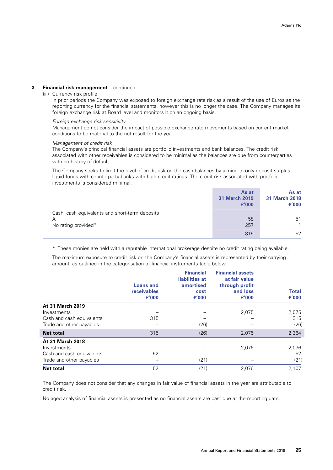#### **3 Financial risk management** – continued

# (iii) Currency risk profile

In prior periods the Company was exposed to foreign exchange rate risk as a result of the use of Euros as the reporting currency for the financial statements, however this is no longer the case. The Company manages its foreign exchange risk at Board level and monitors it on an ongoing basis.

#### *Foreign exchange risk sensitivity*

Management do not consider the impact of possible exchange rate movements based on current market conditions to be material to the net result for the year.

#### *Management of credit risk*

The Company's principal financial assets are portfolio investments and bank balances. The credit risk associated with other receivables is considered to be minimal as the balances are due from counterparties with no history of default.

The Company seeks to limit the level of credit risk on the cash balances by aiming to only deposit surplus liquid funds with counterparty banks with high credit ratings. The credit risk associated with portfolio investments is considered minimal.

|                                                | As at<br>31 March 2019<br>£'000 | As at<br>31 March 2018<br>£'000 |
|------------------------------------------------|---------------------------------|---------------------------------|
| Cash, cash equivalents and short-term deposits |                                 |                                 |
| А                                              | 58                              | 51                              |
| No rating provided*                            | 257                             |                                 |
|                                                | 315                             | 52                              |

\* These monies are held with a reputable international brokerage despite no credit rating being available.

The maximum exposure to credit risk on the Company's financial assets is represented by their carrying amount, as outlined in the categorisation of financial instruments table below.

|                           | <b>Loans and</b><br>receivables<br>£'000 | <b>Financial</b><br>liabilities at<br>amortised<br>cost<br>£'000 | <b>Financial assets</b><br>at fair value<br>through profit<br>and loss<br>£'000 | <b>Total</b><br>£'000 |
|---------------------------|------------------------------------------|------------------------------------------------------------------|---------------------------------------------------------------------------------|-----------------------|
| At 31 March 2019          |                                          |                                                                  |                                                                                 |                       |
| Investments               |                                          |                                                                  | 2,075                                                                           | 2,075                 |
| Cash and cash equivalents | 315                                      |                                                                  |                                                                                 | 315                   |
| Trade and other payables  |                                          | (26)                                                             |                                                                                 | (26)                  |
| <b>Net total</b>          | 315                                      | (26)                                                             | 2,075                                                                           | 2,364                 |
| <b>At 31 March 2018</b>   |                                          |                                                                  |                                                                                 |                       |
| Investments               |                                          |                                                                  | 2,076                                                                           | 2,076                 |
| Cash and cash equivalents | 52                                       |                                                                  |                                                                                 | 52                    |
| Trade and other payables  |                                          | (21)                                                             |                                                                                 | (21)                  |
| <b>Net total</b>          | 52                                       | (21)                                                             | 2.076                                                                           | 2,107                 |

The Company does not consider that any changes in fair value of financial assets in the year are attributable to credit risk.

No aged analysis of financial assets is presented as no financial assets are past due at the reporting date.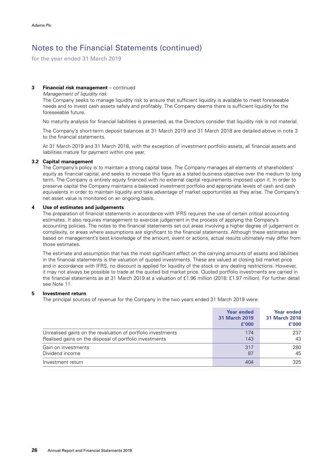# Notes to the Financial Statements (continued)

for the year ended 31 March 2019

# **3 Financial risk management** – continued

*Management of liquidity risk*

The Company seeks to manage liquidity risk to ensure that sufficient liquidity is available to meet foreseeable needs and to invest cash assets safely and profitably. The Company deems there is sufficient liquidity for the foreseeable future.

No maturity analysis for financial liabilities is presented, as the Directors consider that liquidity risk is not material.

The Company's short-term deposit balances at 31 March 2019 and 31 March 2018 are detailed above in note 3 to the financial statements.

At 31 March 2019 and 31 March 2018, with the exception of investment portfolio assets, all financial assets and liabilities mature for payment within one year.

### **3.2 Capital management**

The Company's policy is to maintain a strong capital base. The Company manages all elements of shareholders' equity as financial capital, and seeks to increase this figure as a stated business objective over the medium to long term. The Company is entirely equity financed with no external capital requirements imposed upon it. In order to preserve capital the Company maintains a balanced investment portfolio and appropriate levels of cash and cash equivalents in order to maintain liquidity and take advantage of market opportunities as they arise. The Company's net asset value is monitored on an ongoing basis.

# **4 Use of estimates and judgements**

The preparation of financial statements in accordance with IFRS requires the use of certain critical accounting estimates. It also requires management to exercise judgement in the process of applying the Company's accounting policies. The notes to the financial statements set out areas involving a higher degree of judgement or complexity, or areas where assumptions are significant to the financial statements. Although these estimates are based on management's best knowledge of the amount, event or actions, actual results ultimately may differ from those estimates.

The estimate and assumption that has the most significant effect on the carrying amounts of assets and liabilities in the financial statements is the valuation of quoted investments. These are valued at closing bid market price and in accordance with IFRS, no discount is applied for liquidity of the stock or any dealing restrictions. However, it may not always be possible to trade at the quoted bid market price. Quoted portfolio investments are carried in the financial statements as at 31 March 2019 at a valuation of £1.96 million (2018: £1.97 million). For further detail see Note 11.

# **5 Investment return**

The principal sources of revenue for the Company in the two years ended 31 March 2019 were:

|                                                              | <b>Year ended</b><br>31 March 2019<br>£'000 | <b>Year ended</b><br>31 March 2018<br>£'000 |
|--------------------------------------------------------------|---------------------------------------------|---------------------------------------------|
| Unrealised gains on the revaluation of portfolio investments | 174                                         | 237                                         |
| Realised gains on the disposal of portfolio investments      | 143                                         | 43                                          |
| Gain on investments                                          | 317                                         | 280                                         |
| Dividend income                                              | 87                                          | 45                                          |
| Investment return                                            | 404                                         | 325                                         |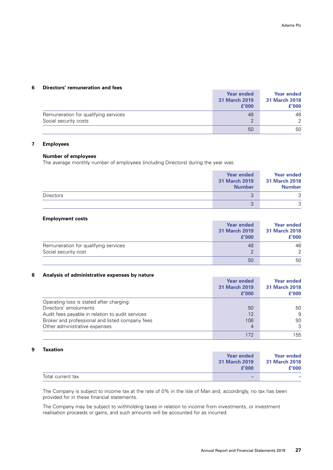# **6 Directors' remuneration and fees**

|                                      | Year ended<br>31 March 2019<br>£'000 | <b>Year ended</b><br>31 March 2018<br>£'000 |
|--------------------------------------|--------------------------------------|---------------------------------------------|
| Remuneration for qualifying services | 48                                   | 48                                          |
| Social security costs                | 2                                    | $\mathcal{D}$                               |
|                                      | 50                                   | 50                                          |

# **7 Employees**

# **Number of employees**

The average monthly number of employees (including Directors) during the year was:

|                  | <b>Year ended</b><br>31 March 2019<br><b>Number</b> | <b>Year ended</b><br>31 March 2018<br><b>Number</b> |
|------------------|-----------------------------------------------------|-----------------------------------------------------|
| <b>Directors</b> | 3                                                   | 3                                                   |
|                  | 3                                                   | 3                                                   |

# **Employment costs**

|                                      | <b>Year ended</b><br>31 March 2019<br>£'000 | <b>Year ended</b><br>31 March 2018<br>£'000 |
|--------------------------------------|---------------------------------------------|---------------------------------------------|
| Remuneration for qualifying services | 48                                          | 48                                          |
| Social security cost                 | $\overline{2}$                              | $\mathcal{D}$                               |
|                                      | 50                                          | 50                                          |

# **8 Analysis of administrative expenses by nature**

|                                                  | <b>Year ended</b><br>31 March 2019<br>£'000 | <b>Year ended</b><br><b>31 March 2018</b><br>£'000 |
|--------------------------------------------------|---------------------------------------------|----------------------------------------------------|
| Operating loss is stated after charging:         |                                             |                                                    |
| Directors' emoluments                            | 50                                          | 50                                                 |
| Audit fees payable in relation to audit services | 12                                          | 9                                                  |
| Broker and professional and listed company fees  | 106                                         | 93                                                 |
| Other administrative expenses                    | 4                                           | 3                                                  |
|                                                  | 172                                         | 155                                                |

# **9 Taxation**

|                   | Year ended<br>31 March 2019<br>£'000 | <b>Year ended</b><br>31 March 2018<br>£'000 |
|-------------------|--------------------------------------|---------------------------------------------|
| Total current tax |                                      |                                             |

The Company is subject to income tax at the rate of 0% in the Isle of Man and, accordingly, no tax has been provided for in these financial statements.

The Company may be subject to withholding taxes in relation to income from investments, or investment realisation proceeds or gains, and such amounts will be accounted for as incurred.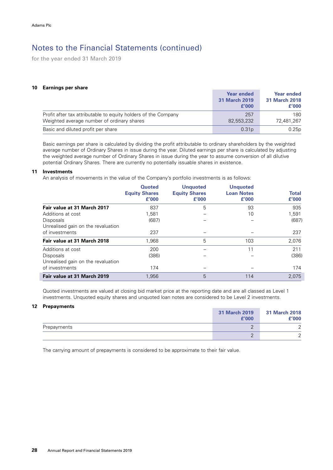# Notes to the Financial Statements (continued)

for the year ended 31 March 2019

### **10 Earnings per share**

|                                                                | <b>Year ended</b><br><b>31 March 2019</b><br>£'000 | <b>Year ended</b><br>31 March 2018<br>£'000 |
|----------------------------------------------------------------|----------------------------------------------------|---------------------------------------------|
| Profit after tax attributable to equity holders of the Company | 257                                                | 180                                         |
| Weighted average number of ordinary shares                     | 82.553.232                                         | 72,481,267                                  |
| Basic and diluted profit per share                             | 0.31 <sub>D</sub>                                  | 0.25p                                       |

Basic earnings per share is calculated by dividing the profit attributable to ordinary shareholders by the weighted average number of Ordinary Shares in issue during the year. Diluted earnings per share is calculated by adjusting the weighted average number of Ordinary Shares in issue during the year to assume conversion of all dilutive potential Ordinary Shares. There are currently no potentially issuable shares in existence.

### **11 Investments**

An analysis of movements in the value of the Company's portfolio investments is as follows:

|                                    | <b>Quoted</b><br><b>Equity Shares</b><br>£'000 | <b>Unquoted</b><br><b>Equity Shares</b><br>£'000 | <b>Unquoted</b><br><b>Loan Notes</b><br>£'000 | <b>Total</b><br>£'000 |
|------------------------------------|------------------------------------------------|--------------------------------------------------|-----------------------------------------------|-----------------------|
| Fair value at 31 March 2017        | 837                                            | 5                                                | 93                                            | 935                   |
| Additions at cost                  | 1.581                                          |                                                  | 10                                            | 1.591                 |
| <b>Disposals</b>                   | (687)                                          |                                                  |                                               | (687)                 |
| Unrealised gain on the revaluation |                                                |                                                  |                                               |                       |
| of investments                     | 237                                            |                                                  |                                               | 237                   |
| Fair value at 31 March 2018        | 1,968                                          | 5                                                | 103                                           | 2,076                 |
| Additions at cost                  | 200                                            |                                                  | 11                                            | 211                   |
| <b>Disposals</b>                   | (386)                                          |                                                  |                                               | (386)                 |
| Unrealised gain on the revaluation |                                                |                                                  |                                               |                       |
| of investments                     | 174                                            |                                                  |                                               | 174                   |
| Fair value at 31 March 2019        | 1,956                                          | 5                                                | 114                                           | 2.075                 |

Quoted investments are valued at closing bid market price at the reporting date and are all classed as Level 1 investments. Unquoted equity shares and unquoted loan notes are considered to be Level 2 investments.

### **12 Prepayments**

|             | 31 March 2019<br>£'000 | 31 March 2018<br>£'000 |
|-------------|------------------------|------------------------|
| Prepayments |                        | ⌒                      |
|             | ←                      | $\sim$                 |

The carrying amount of prepayments is considered to be approximate to their fair value.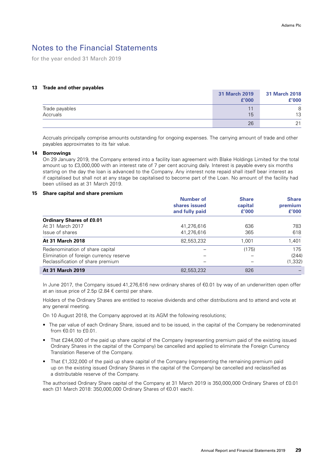# Notes to the Financial Statements

for the year ended 31 March 2019

#### **13 Trade and other payables**

|                | 31 March 2019<br>£'000 | 31 March 2018<br>£'000 |
|----------------|------------------------|------------------------|
| Trade payables | 11                     | 8                      |
| Accruals       | 15                     | 13                     |
|                | 26                     | 21                     |

Accruals principally comprise amounts outstanding for ongoing expenses. The carrying amount of trade and other payables approximates to its fair value.

#### **14 Borrowings**

On 29 January 2019, the Company entered into a facility loan agreement with Blake Holdings Limited for the total amount up to £3,000,000 with an interest rate of 7 per cent accruing daily. Interest is payable every six months starting on the day the loan is advanced to the Company. Any interest note repaid shall itself bear interest as if capitalised but shall not at any stage be capitalised to become part of the Loan. No amount of the facility had been utilised as at 31 March 2019.

# **15 Share capital and share premium**

|                                         | <b>Number of</b><br>shares issued<br>and fully paid | <b>Share</b><br>capital<br>£'000 | <b>Share</b><br>premium<br>£'000 |
|-----------------------------------------|-----------------------------------------------------|----------------------------------|----------------------------------|
| <b>Ordinary Shares of £0.01</b>         |                                                     |                                  |                                  |
| At 31 March 2017                        | 41,276,616                                          | 636                              | 783                              |
| Issue of shares                         | 41.276.616                                          | 365                              | 618                              |
| <b>At 31 March 2018</b>                 | 82,553,232                                          | 1.001                            | 1,401                            |
| Redenomination of share capital         |                                                     | (175)                            | 175                              |
| Elimination of foreign currency reserve |                                                     |                                  | (244)                            |
| Reclassification of share premium       |                                                     |                                  | (1, 332)                         |
| <b>At 31 March 2019</b>                 | 82.553.232                                          | 826                              |                                  |

In June 2017, the Company issued 41,276,616 new ordinary shares of  $\epsilon$ 0.01 by way of an underwritten open offer at an issue price of 2.5p (2.84  $\epsilon$  cents) per share.

Holders of the Ordinary Shares are entitled to receive dividends and other distributions and to attend and vote at any general meeting.

On 10 August 2018, the Company approved at its AGM the following resolutions;

- The par value of each Ordinary Share, issued and to be issued, in the capital of the Company be redenominated from  $\text{\textsterling}0.01$  to £0.01.
- That £244,000 of the paid up share capital of the Company (representing premium paid of the existing issued Ordinary Shares in the capital of the Company) be cancelled and applied to eliminate the Foreign Currency Translation Reserve of the Company.
- That £1,332,000 of the paid up share capital of the Company (representing the remaining premium paid up on the existing issued Ordinary Shares in the capital of the Company) be cancelled and reclassified as a distributable reserve of the Company.

The authorised Ordinary Share capital of the Company at 31 March 2019 is 350,000,000 Ordinary Shares of £0.01 each (31 March 2018: 350,000,000 Ordinary Shares of  $\epsilon$ 0.01 each).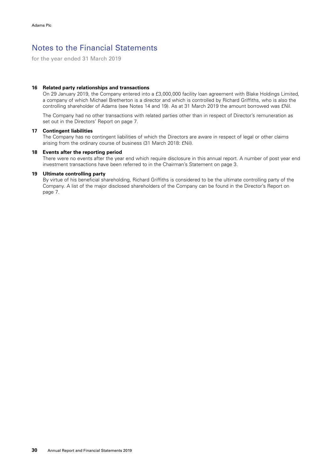# Notes to the Financial Statements

for the year ended 31 March 2019

# **16 Related party relationships and transactions**

On 29 January 2019, the Company entered into a £3,000,000 facility loan agreement with Blake Holdings Limited, a company of which Michael Bretherton is a director and which is controlled by Richard Griffiths, who is also the controlling shareholder of Adams (see Notes 14 and 19). As at 31 March 2019 the amount borrowed was £Nil.

The Company had no other transactions with related parties other than in respect of Director's remuneration as set out in the Directors' Report on page 7.

# **17 Contingent liabilities**

The Company has no contingent liabilities of which the Directors are aware in respect of legal or other claims arising from the ordinary course of business (31 March 2018: £Nil).

### **18 Events after the reporting period**

There were no events after the year end which require disclosure in this annual report. A number of post year end investment transactions have been referred to in the Chairman's Statement on page 3.

# **19 Ultimate controlling party**

By virtue of his beneficial shareholding, Richard Griffiths is considered to be the ultimate controlling party of the Company. A list of the major disclosed shareholders of the Company can be found in the Director's Report on page 7.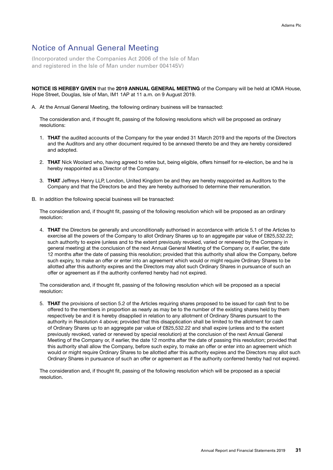# Notice of Annual General Meeting

(Incorporated under the Companies Act 2006 of the Isle of Man and registered in the Isle of Man under number 004145V)

**NOTICE IS HEREBY GIVEN** that the **2019 ANNUAL GENERAL MEETING** of the Company will be held at IOMA House, Hope Street, Douglas, Isle of Man, IM1 1AP at 11 a.m. on 9 August 2019.

A. At the Annual General Meeting, the following ordinary business will be transacted:

 The consideration and, if thought fit, passing of the following resolutions which will be proposed as ordinary resolutions:

- 1. **THAT** the audited accounts of the Company for the year ended 31 March 2019 and the reports of the Directors and the Auditors and any other document required to be annexed thereto be and they are hereby considered and adopted.
- 2. **THAT** Nick Woolard who, having agreed to retire but, being eligible, offers himself for re-election, be and he is hereby reappointed as a Director of the Company.
- 3. **THAT** Jeffreys Henry LLP, London, United Kingdom be and they are hereby reappointed as Auditors to the Company and that the Directors be and they are hereby authorised to determine their remuneration.
- B. In addition the following special business will be transacted:

 The consideration and, if thought fit, passing of the following resolution which will be proposed as an ordinary resolution:

4. **THAT** the Directors be generally and unconditionally authorised in accordance with article 5.1 of the Articles to exercise all the powers of the Company to allot Ordinary Shares up to an aggregate par value of £825,532.22; such authority to expire (unless and to the extent previously revoked, varied or renewed by the Company in general meeting) at the conclusion of the next Annual General Meeting of the Company or, if earlier, the date 12 months after the date of passing this resolution; provided that this authority shall allow the Company, before such expiry, to make an offer or enter into an agreement which would or might require Ordinary Shares to be allotted after this authority expires and the Directors may allot such Ordinary Shares in pursuance of such an offer or agreement as if the authority conferred hereby had not expired.

 The consideration and, if thought fit, passing of the following resolution which will be proposed as a special resolution:

5. **THAT** the provisions of section 5.2 of the Articles requiring shares proposed to be issued for cash first to be offered to the members in proportion as nearly as may be to the number of the existing shares held by them respectively be and it is hereby disapplied in relation to any allotment of Ordinary Shares pursuant to the authority in Resolution 4 above; provided that this disapplication shall be limited to the allotment for cash of Ordinary Shares up to an aggregate par value of £825,532.22 and shall expire (unless and to the extent previously revoked, varied or renewed by special resolution) at the conclusion of the next Annual General Meeting of the Company or, if earlier, the date 12 months after the date of passing this resolution; provided that this authority shall allow the Company, before such expiry, to make an offer or enter into an agreement which would or might require Ordinary Shares to be allotted after this authority expires and the Directors may allot such Ordinary Shares in pursuance of such an offer or agreement as if the authority conferred hereby had not expired.

 The consideration and, if thought fit, passing of the following resolution which will be proposed as a special resolution.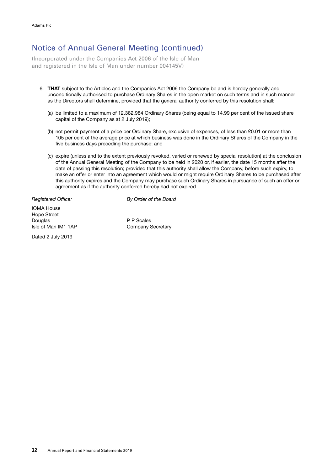# Notice of Annual General Meeting (continued)

(Incorporated under the Companies Act 2006 of the Isle of Man and registered in the Isle of Man under number 004145V)

- 6. **THAT** subject to the Articles and the Companies Act 2006 the Company be and is hereby generally and unconditionally authorised to purchase Ordinary Shares in the open market on such terms and in such manner as the Directors shall determine, provided that the general authority conferred by this resolution shall:
	- (a) be limited to a maximum of 12,382,984 Ordinary Shares (being equal to 14.99 per cent of the issued share capital of the Company as at 2 July 2019);
	- (b) not permit payment of a price per Ordinary Share, exclusive of expenses, of less than £0.01 or more than 105 per cent of the average price at which business was done in the Ordinary Shares of the Company in the five business days preceding the purchase; and
	- (c) expire (unless and to the extent previously revoked, varied or renewed by special resolution) at the conclusion of the Annual General Meeting of the Company to be held in 2020 or, if earlier, the date 15 months after the date of passing this resolution; provided that this authority shall allow the Company, before such expiry, to make an offer or enter into an agreement which would or might require Ordinary Shares to be purchased after this authority expires and the Company may purchase such Ordinary Shares in pursuance of such an offer or agreement as if the authority conferred hereby had not expired.

IOMA House Hope Street Douglas<br>
Isle of Man IM1 1AP<br>
Company S

Dated 2 July 2019

*Registered Office: By Order of the Board*

Company Secretary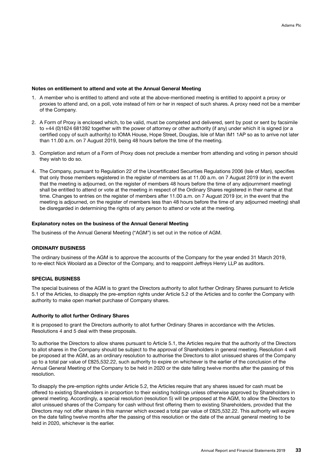#### **Notes on entitlement to attend and vote at the Annual General Meeting**

- 1. A member who is entitled to attend and vote at the above-mentioned meeting is entitled to appoint a proxy or proxies to attend and, on a poll, vote instead of him or her in respect of such shares. A proxy need not be a member of the Company.
- 2. A Form of Proxy is enclosed which, to be valid, must be completed and delivered, sent by post or sent by facsimile to +44 (0)1624 681392 together with the power of attorney or other authority (if any) under which it is signed (or a certified copy of such authority) to IOMA House, Hope Street, Douglas, Isle of Man IM1 1AP so as to arrive not later than 11.00 a.m. on 7 August 2019, being 48 hours before the time of the meeting.
- 3. Completion and return of a Form of Proxy does not preclude a member from attending and voting in person should they wish to do so.
- 4. The Company, pursuant to Regulation 22 of the Uncertificated Securities Regulations 2006 (Isle of Man), specifies that only those members registered in the register of members as at 11.00 a.m. on 7 August 2019 (or in the event that the meeting is adjourned, on the register of members 48 hours before the time of any adjournment meeting) shall be entitled to attend or vote at the meeting in respect of the Ordinary Shares registered in their name at that time. Changes to entries on the register of members after 11.00 a.m. on 7 August 2019 (or, in the event that the meeting is adjourned, on the register of members less than 48 hours before the time of any adjourned meeting) shall be disregarded in determining the rights of any person to attend or vote at the meeting.

#### **Explanatory notes on the business of the Annual General Meeting**

The business of the Annual General Meeting ("AGM") is set out in the notice of AGM.

### **ORDINARY BUSINESS**

The ordinary business of the AGM is to approve the accounts of the Company for the year ended 31 March 2019, to re-elect Nick Woolard as a Director of the Company, and to reappoint Jeffreys Henry LLP as auditors.

#### **SPECIAL BUSINESS**

The special business of the AGM is to grant the Directors authority to allot further Ordinary Shares pursuant to Article 5.1 of the Articles, to disapply the pre-emption rights under Article 5.2 of the Articles and to confer the Company with authority to make open market purchase of Company shares.

#### **Authority to allot further Ordinary Shares**

It is proposed to grant the Directors authority to allot further Ordinary Shares in accordance with the Articles. Resolutions 4 and 5 deal with these proposals.

To authorise the Directors to allow shares pursuant to Article 5.1, the Articles require that the authority of the Directors to allot shares in the Company should be subject to the approval of Shareholders in general meeting. Resolution 4 will be proposed at the AGM, as an ordinary resolution to authorise the Directors to allot unissued shares of the Company up to a total par value of £825,532.22, such authority to expire on whichever is the earlier of the conclusion of the Annual General Meeting of the Company to be held in 2020 or the date falling twelve months after the passing of this resolution.

To disapply the pre-emption rights under Article 5.2, the Articles require that any shares issued for cash must be offered to existing Shareholders in proportion to their existing holdings unless otherwise approved by Shareholders in general meeting. Accordingly, a special resolution (resolution 5) will be proposed at the AGM, to allow the Directors to allot unissued shares of the Company for cash without first offering them to existing Shareholders, provided that the Directors may not offer shares in this manner which exceed a total par value of £825,532.22. This authority will expire on the date falling twelve months after the passing of this resolution or the date of the annual general meeting to be held in 2020, whichever is the earlier.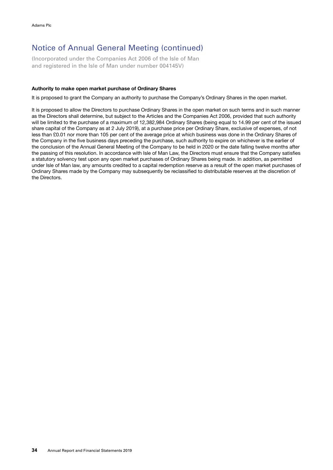# Notice of Annual General Meeting (continued)

(Incorporated under the Companies Act 2006 of the Isle of Man and registered in the Isle of Man under number 004145V)

# **Authority to make open market purchase of Ordinary Shares**

It is proposed to grant the Company an authority to purchase the Company's Ordinary Shares in the open market.

It is proposed to allow the Directors to purchase Ordinary Shares in the open market on such terms and in such manner as the Directors shall determine, but subject to the Articles and the Companies Act 2006, provided that such authority will be limited to the purchase of a maximum of 12,382,984 Ordinary Shares (being equal to 14.99 per cent of the issued share capital of the Company as at 2 July 2019), at a purchase price per Ordinary Share, exclusive of expenses, of not less than £0.01 nor more than 105 per cent of the average price at which business was done in the Ordinary Shares of the Company in the five business days preceding the purchase, such authority to expire on whichever is the earlier of the conclusion of the Annual General Meeting of the Company to be held in 2020 or the date falling twelve months after the passing of this resolution. In accordance with Isle of Man Law, the Directors must ensure that the Company satisfies a statutory solvency test upon any open market purchases of Ordinary Shares being made. In addition, as permitted under Isle of Man law, any amounts credited to a capital redemption reserve as a result of the open market purchases of Ordinary Shares made by the Company may subsequently be reclassified to distributable reserves at the discretion of the Directors.